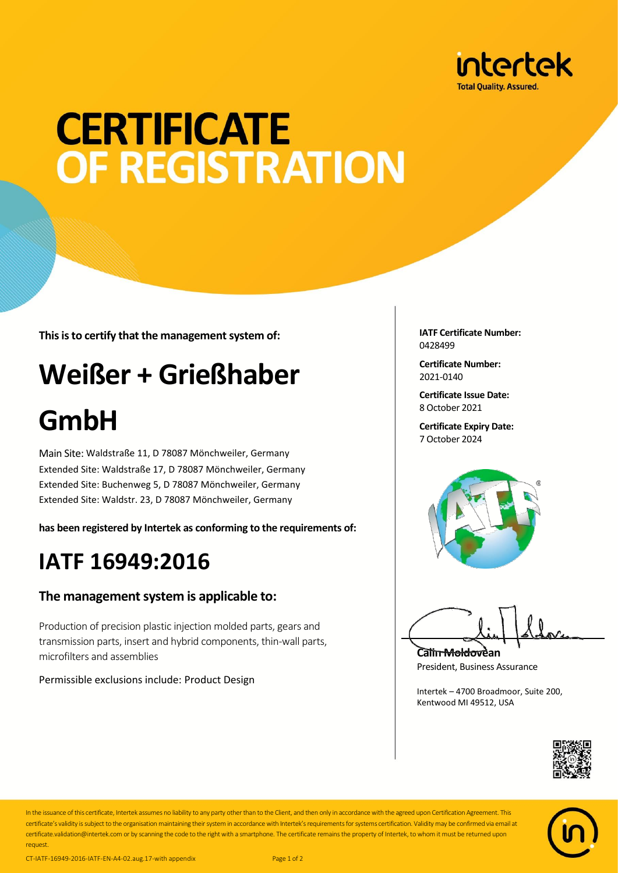

# **CERTIFICATE OF REGISTRATION**

**This is to certify that the management system of:**

## **Weißer + Grießhaber**

## **GmbH**

Main Site: Waldstraße 11, D 78087 Mönchweiler, Germany Extended Site: Waldstraße 17, D 78087 Mönchweiler, Germany Extended Site: Buchenweg 5, D 78087 Mönchweiler, Germany Extended Site: Waldstr. 23, D 78087 Mönchweiler, Germany

**has been registered by Intertek as conforming to the requirements of:**

### **IATF 16949:2016**

#### **The management system is applicable to:**

Production of precision plastic injection molded parts, gears and transmission parts, insert and hybrid components, thin-wall parts, microfilters and assemblies

Permissible exclusions include: Product Design

**IATF Certificate Number:** 0428499

**Certificate Number:** 2021-0140

**Certificate Issue Date:** 8 October 2021

**Certificate Expiry Date:** 7 October 2024



**Calin Moldovean** President, Business Assurance

Intertek – 4700 Broadmoor, Suite 200, Kentwood MI 49512, USA





In the issuance of this certificate, Intertek assumes no liability to any party other than to the Client, and then only in accordance with the agreed upon Certification Agreement. This certificate's validity is subject to the organisation maintaining their system in accordance with Intertek's requirements for systems certification. Validity may be confirmed via email at certificate.validation@intertek.com or by scanning the code to the right with a smartphone. The certificate remains the property of Intertek, to whom it must be returned upon request.